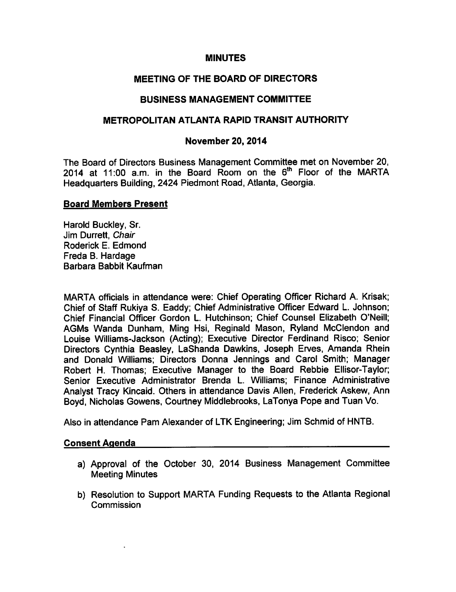# **MINUTES**

# MEETING OF THE BOARD OF DIRECTORS

# BUSINESS MANAGEMENT COMMITTEE

# METROPOLITAN ATLANTA RAPID TRANSIT AUTHORITY

# November 20, 2014

The Board of Directors Business Management Committee met on November 20, 2014 at 11:00 a.m. in the Board Room on the 6<sup>th</sup> Floor of the MARTA Headquarters Building, 2424 Piedmont Road, Atlanta, Georgia.

#### Board Members Present

Harold Buckley, Sr. Jim Durrett, Chair Roderick E. Edmond Freda B. Hardage Barbara Babbit Kaufman

MARTA officials in attendance were: Chief Operating Officer Richard A. Krisak; Chief of Staff Rukiya S. Eaddy; Chief Administrative Officer Edward L. Johnson; Chief Financial Officer Gordon L. Hutchinson; Chief Counsel Elizabeth O'Neill; AGMs Wanda Dunham, Ming Hsi, Reginald Mason, Ryland McClendon and Louise Williams-Jackson (Acting); Executive Director Ferdinand Risco; Senior Directors Cynthia Beasley, LaShanda Dawkins, Joseph Erves, Amanda Rhein and Donald Williams; Directors Donna Jennings and Carol Smith; Manager Robert H. Thomas; Executive Manager to the Board Rebbie Ellisor-Taylor; Senior Executive Administrator Brenda L. Williams; Finance Administrative Analyst Tracy Kincaid. Others in attendance Davis Allen, Frederick Askew, Ann Boyd, Nicholas Gowens, Courtney Middlebrooks, LaTonya Pope and Tuan Vo.

Also in attendance Pam Alexander of LTK Engineering; Jim Schmid of HNTB.

#### Consent Agenda

- a) Approval of the October 30, 2014 Business Management Committee Meeting Minutes
- b) Resolution to Support MARTA Funding Requests to the Atlanta Regional **Commission**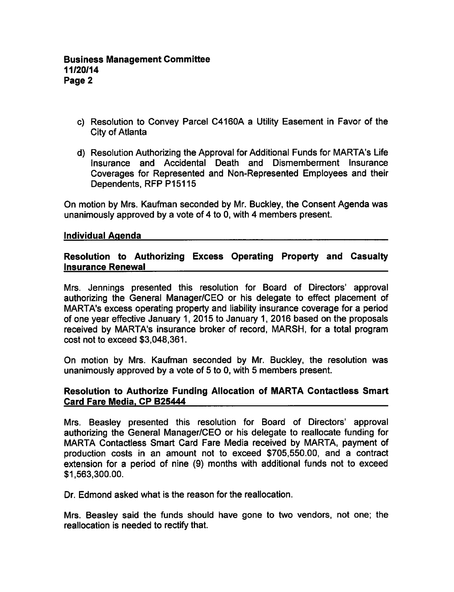- c) Resolution to Convey Parcel C4160A a Utility Easement in Favor of the City of Atlanta
- d) Resolution Authorizing the Approval for Additional Funds for MARTA's Life Insurance and Accidental Death and Dismemberment Insurance Coverages for Represented and Non-Represented Employees and their Dependents, RFP P15115

On motion by Mrs. Kaufman seconded by Mr. Buckley, the Consent Agenda was unanimously approved by a vote of 4 to 0, with 4 members present.

#### Individual Agenda

# Resolution to Authorizing Excess Operating Property and Casualty Insurance Renewal

Mrs. Jennings presented this resolution for Board of Directors' approval authorizing the General Manager/CEO or his delegate to effect placement of MARTA's excess operating property and liability insurance coverage for a period of one year effective January 1, 2015 to January 1, 2016 based on the proposals received by MARTA's insurance broker of record, MARSH, for a total program cost not to exceed \$3,048,361.

On motion by Mrs. Kaufman seconded by Mr. Buckley, the resolution was unanimously approved by a vote of 5 to 0, with 5 members present.

# Resolution to Authorize Funding Allocation of MARTA Contactless Smart Card Fare Media. CP B25444

Mrs. Beasley presented this resolution for Board of Directors' approval authorizing the General Manager/CEO or his delegate to reallocate funding for MARTA Contactless Smart Card Fare Media received by MARTA, payment of production costs in an amount not to exceed \$705,550.00, and contract extension for a period of nine (9) months with additional funds not to exceed \$1,563,300.00.

Dr. Edmond asked what is the reason for the reallocation.

Mrs. Beasley said the funds should have gone to two vendors, not one; the reallocation is needed to rectify that.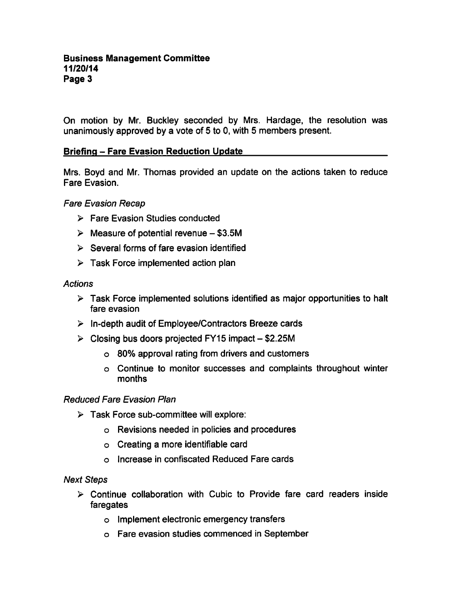On motion by Mr. Buckley seconded by Mrs. Hardage, the resolution was unanimously approved by a vote of 5 to 0, with 5 members present.

# **Briefing - Fare Evasion Reduction Update**

Mrs. Boyd and Mr. Thomas provided an update on the actions taken to reduce Fare Evasion.

#### Fare Evasion Recap

- Fare Evasion Studies conducted
- $\triangleright$  Measure of potential revenue \$3.5M
- $\triangleright$  Several forms of fare evasion identified
- $\triangleright$  Task Force implemented action plan

#### Actions

- $\triangleright$  Task Force implemented solutions identified as major opportunities to halt fare evasion
- $\triangleright$  In-depth audit of Employee/Contractors Breeze cards
- $\triangleright$  Closing bus doors projected FY15 impact \$2.25M
	- 80% approval rating from drivers and customers
	- Continue to monitor successes and complaints throughout winter months

# Reduced Fare Evasion Plan

- $\triangleright$  Task Force sub-committee will explore:
	- Revisions needed in policies and procedures
	- $\circ$  Creating a more identifiable card
	- Increase in confiscated Reduced Fare cards

#### Next Steps

- $\triangleright$  Continue collaboration with Cubic to Provide fare card readers inside faregates
	- Implement electronic emergency transfers
	- Fare evasion studies commenced in September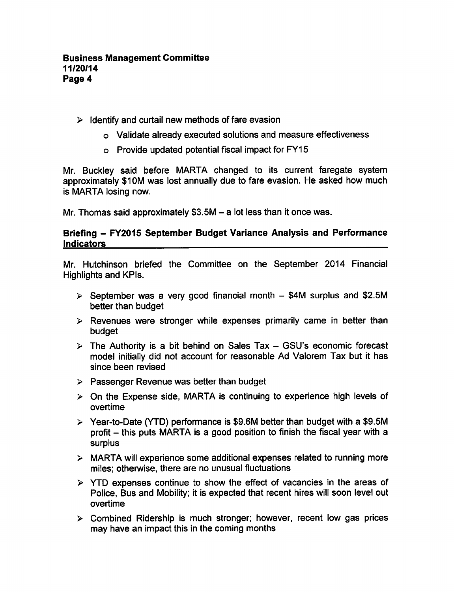# $\triangleright$  Identify and curtail new methods of fare evasion

- Validate already executed solutions and measure effectiveness
- Provide updated potential fiscal impact for FY15

Mr. Buckley said before MARTA changed to its current faregate system approximately \$10M was lost annually due to fare evasion. He asked how much is MARTA losing now.

Mr. Thomas said approximately  $$3.5M - a$  lot less than it once was.

#### Briefing - FY2015 September Budget Variance Analysis and Performance Indicators

Mr. Hutchinson briefed the Committee on the September 2014 Financial Highlights and KPIs.

- $\geq$  September was a very good financial month  $-$  \$4M surplus and \$2.5M better than budget
- $\triangleright$  Revenues were stronger while expenses primarily came in better than budget
- $\triangleright$  The Authority is a bit behind on Sales Tax GSU's economic forecast model initially did not account for reasonable Ad Valorem Tax but it has since been revised
- $\triangleright$  Passenger Revenue was better than budget
- $\geq$  On the Expense side, MARTA is continuing to experience high levels of overtime
- $\geq$  Year-to-Date (YTD) performance is \$9.6M better than budget with a \$9.5M profit  $-$  this puts MARTA is a good position to finish the fiscal year with a surplus
- $\triangleright$  MARTA will experience some additional expenses related to running more miles; otherwise, there are no unusual fluctuations
- $\triangleright$  YTD expenses continue to show the effect of vacancies in the areas of Police, Bus and Mobility; it is expected that recent hires will soon level out overtime
- Combined Ridership is much stronger; however, recent low gas prices may have an impact this in the coming months